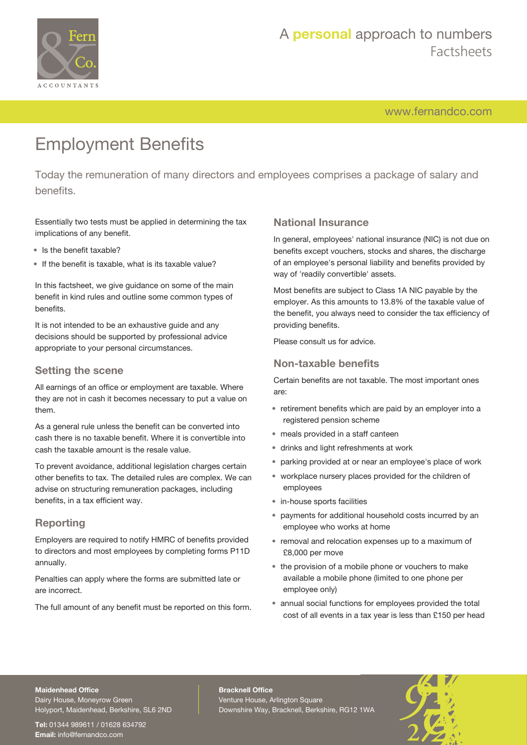

[www.fernandco.com](http://www.fernandco.com)

# Employment Benefits

Today the remuneration of many directors and employees comprises a package of salary and benefits.

Essentially two tests must be applied in determining the tax implications of any benefit.

- Is the benefit taxable?
- If the benefit is taxable, what is its taxable value?

In this factsheet, we give guidance on some of the main benefit in kind rules and outline some common types of benefits.

It is not intended to be an exhaustive guide and any decisions should be supported by professional advice appropriate to your personal circumstances.

#### **Setting the scene**

All earnings of an office or employment are taxable. Where they are not in cash it becomes necessary to put a value on them.

As a general rule unless the benefit can be converted into cash there is no taxable benefit. Where it is convertible into cash the taxable amount is the resale value.

To prevent avoidance, additional legislation charges certain other benefits to tax. The detailed rules are complex. We can advise on structuring remuneration packages, including benefits, in a tax efficient way.

### **Reporting**

Employers are required to notify HMRC of benefits provided to directors and most employees by completing forms P11D annually.

Penalties can apply where the forms are submitted late or are incorrect.

The full amount of any benefit must be reported on this form.

#### **National Insurance**

In general, employees' national insurance (NIC) is not due on benefits except vouchers, stocks and shares, the discharge of an employee's personal liability and benefits provided by way of 'readily convertible' assets.

Most benefits are subject to Class 1A NIC payable by the employer. As this amounts to 13.8% of the taxable value of the benefit, you always need to consider the tax efficiency of providing benefits.

Please consult us for advice.

### **Non-taxable benefits**

Certain benefits are not taxable. The most important ones are:

- retirement benefits which are paid by an employer into a registered pension scheme
- meals provided in a staff canteen
- drinks and light refreshments at work
- parking provided at or near an employee's place of work
- workplace nursery places provided for the children of employees
- in-house sports facilities
- payments for additional household costs incurred by an employee who works at home
- removal and relocation expenses up to a maximum of £8,000 per move
- the provision of a mobile phone or vouchers to make available a mobile phone (limited to one phone per employee only)
- annual social functions for employees provided the total cost of all events in a tax year is less than £150 per head

#### **Maidenhead Office**

Dairy House, Moneyrow Green Holyport, Maidenhead, Berkshire, SL6 2ND

**Tel:** 01344 989611 / 01628 634792 **Email:** [info@fernandco.com](mailto:info@fernandco.com)

**Bracknell Office** Venture House, Arlington Square Downshire Way, Bracknell, Berkshire, RG12 1WA

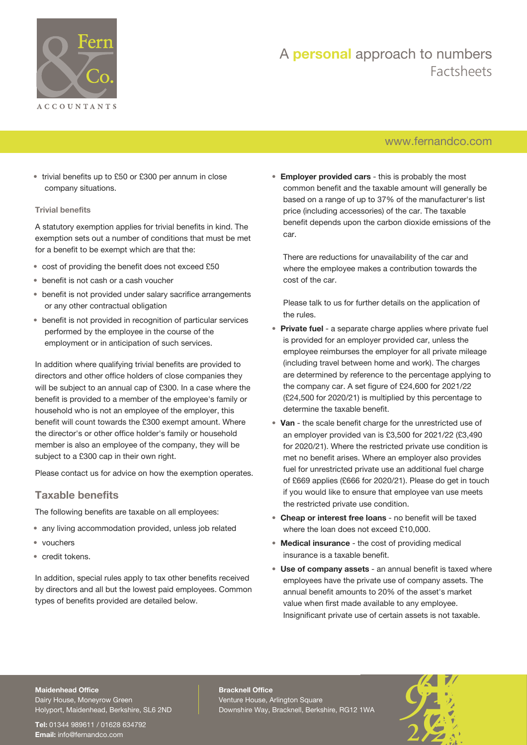

# A **personal** approach to numbers Factsheets

# [www.fernandco.com](http://www.fernandco.com)

• trivial benefits up to £50 or £300 per annum in close company situations.

#### **Trivial benefits**

A statutory exemption applies for trivial benefits in kind. The exemption sets out a number of conditions that must be met for a benefit to be exempt which are that the:

- cost of providing the benefit does not exceed £50
- benefit is not cash or a cash voucher
- benefit is not provided under salary sacrifice arrangements or any other contractual obligation
- benefit is not provided in recognition of particular services performed by the employee in the course of the employment or in anticipation of such services.

In addition where qualifying trivial benefits are provided to directors and other office holders of close companies they will be subject to an annual cap of £300. In a case where the benefit is provided to a member of the employee's family or household who is not an employee of the employer, this benefit will count towards the £300 exempt amount. Where the director's or other office holder's family or household member is also an employee of the company, they will be subject to a £300 cap in their own right.

Please contact us for advice on how the exemption operates.

#### **Taxable benefits**

The following benefits are taxable on all employees:

- any living accommodation provided, unless job related
- vouchers
- credit tokens.

In addition, special rules apply to tax other benefits received by directors and all but the lowest paid employees. Common types of benefits provided are detailed below.

• **Employer provided cars** - this is probably the most common benefit and the taxable amount will generally be based on a range of up to 37% of the manufacturer's list price (including accessories) of the car. The taxable benefit depends upon the carbon dioxide emissions of the car.

There are reductions for unavailability of the car and where the employee makes a contribution towards the cost of the car.

Please talk to us for further details on the application of the rules.

- Private fuel a separate charge applies where private fuel is provided for an employer provided car, unless the employee reimburses the employer for all private mileage (including travel between home and work). The charges are determined by reference to the percentage applying to the company car. A set figure of £24,600 for 2021/22 (£24,500 for 2020/21) is multiplied by this percentage to determine the taxable benefit.
- **Van** the scale benefit charge for the unrestricted use of an employer provided van is £3,500 for 2021/22 (£3,490 for 2020/21). Where the restricted private use condition is met no benefit arises. Where an employer also provides fuel for unrestricted private use an additional fuel charge of £669 applies (£666 for 2020/21). Please do get in touch if you would like to ensure that employee van use meets the restricted private use condition.
- **Cheap or interest free loans** no benefit will be taxed where the loan does not exceed £10,000.
- **Medical insurance** the cost of providing medical insurance is a taxable benefit.
- **Use of company assets** an annual benefit is taxed where employees have the private use of company assets. The annual benefit amounts to 20% of the asset's market value when first made available to any employee. Insignificant private use of certain assets is not taxable.

## **Maidenhead Office**

Dairy House, Moneyrow Green Holyport, Maidenhead, Berkshire, SL6 2ND

**Tel:** 01344 989611 / 01628 634792 **Email:** [info@fernandco.com](mailto:info@fernandco.com)

**Bracknell Office** Venture House, Arlington Square Downshire Way, Bracknell, Berkshire, RG12 1WA